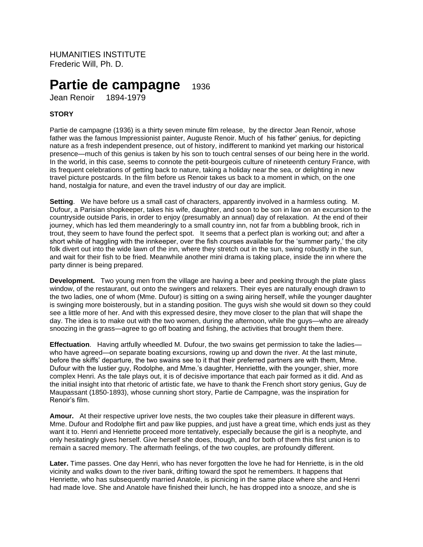HUMANITIES INSTITUTE Frederic Will, Ph. D.

# **Partie de campagne** <sup>1936</sup>

Jean Renoir 1894-1979

# **STORY**

Partie de campagne (1936) is a thirty seven minute film release, by the director Jean Renoir, whose father was the famous Impressionist painter, Auguste Renoir. Much of his father' genius, for depicting nature as a fresh independent presence, out of history, indifferent to mankind yet marking our historical presence—much of this genius is taken by his son to touch central senses of our being here in the world. In the world, in this case, seems to connote the petit-bourgeois culture of nineteenth century France, with its frequent celebrations of getting back to nature, taking a holiday near the sea, or delighting in new travel picture postcards. In the film before us Renoir takes us back to a moment in which, on the one hand, nostalgia for nature, and even the travel industry of our day are implicit.

**Setting**. We have before us a small cast of characters, apparently involved in a harmless outing. M. Dufour, a Parisian shopkeeper, takes his wife, daughter, and soon to be son in law on an excursion to the countryside outside Paris, in order to enjoy (presumably an annual) day of relaxation. At the end of their journey, which has led them meanderingly to a small country inn, not far from a bubbling brook, rich in trout, they seem to have found the perfect spot. It seems that a perfect plan is working out; and after a short while of haggling with the innkeeper, over the fish courses available for the 'summer party,' the city folk divert out into the wide lawn of the inn, where they stretch out in the sun, swing robustly in the sun, and wait for their fish to be fried. Meanwhile another mini drama is taking place, inside the inn where the party dinner is being prepared.

**Development.** Two young men from the village are having a beer and peeking through the plate glass window, of the restaurant, out onto the swingers and relaxers. Their eyes are naturally enough drawn to the two ladies, one of whom (Mme. Dufour) is sitting on a swing airing herself, while the younger daughter is swinging more boisterously, but in a standing position. The guys wish she would sit down so they could see a little more of her. And with this expressed desire, they move closer to the plan that will shape the day. The idea is to make out with the two women, during the afternoon, while the guys—who are already snoozing in the grass—agree to go off boating and fishing, the activities that brought them there.

**Effectuation**. Having artfully wheedled M. Dufour, the two swains get permission to take the ladies who have agreed—on separate boating excursions, rowing up and down the river. At the last minute, before the skiffs' departure, the two swains see to it that their preferred partners are with them, Mme. Dufour with the lustier guy, Rodolphe, and Mme.'s daughter, Henriettte, with the younger, shier, more complex Henri. As the tale plays out, it is of decisive importance that each pair formed as it did. And as the initial insight into that rhetoric of artistic fate, we have to thank the French short story genius, Guy de Maupassant (1850-1893), whose cunning short story, Partie de Campagne, was the inspiration for Renoir's film.

**Amour.** At their respective upriver love nests, the two couples take their pleasure in different ways. Mme. Dufour and Rodolphe flirt and paw like puppies, and just have a great time, which ends just as they want it to. Henri and Henriette proceed more tentatively, especially because the girl is a neophyte, and only hesitatingly gives herself. Give herself she does, though, and for both of them this first union is to remain a sacred memory. The aftermath feelings, of the two couples, are profoundly different.

Later. Time passes. One day Henri, who has never forgotten the love he had for Henriette, is in the old vicinity and walks down to the river bank, drifting toward the spot he remembers. It happens that Henriette, who has subsequently married Anatole, is picnicing in the same place where she and Henri had made love. She and Anatole have finished their lunch, he has dropped into a snooze, and she is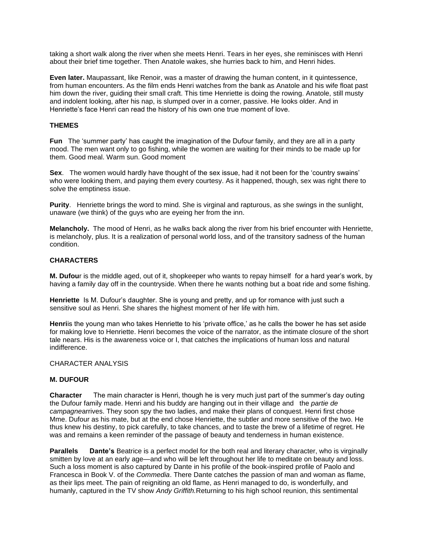taking a short walk along the river when she meets Henri. Tears in her eyes, she reminisces with Henri about their brief time together. Then Anatole wakes, she hurries back to him, and Henri hides.

**Even later.** Maupassant, like Renoir, was a master of drawing the human content, in it quintessence, from human encounters. As the film ends Henri watches from the bank as Anatole and his wife float past him down the river, guiding their small craft. This time Henriette is doing the rowing. Anatole, still musty and indolent looking, after his nap, is slumped over in a corner, passive. He looks older. And in Henriette's face Henri can read the history of his own one true moment of love.

## **THEMES**

**Fun** The 'summer party' has caught the imagination of the Dufour family, and they are all in a party mood. The men want only to go fishing, while the women are waiting for their minds to be made up for them. Good meal. Warm sun. Good moment

**Sex**. The women would hardly have thought of the sex issue, had it not been for the 'country swains' who were looking them, and paying them every courtesy. As it happened, though, sex was right there to solve the emptiness issue.

**Purity**. Henriette brings the word to mind. She is virginal and rapturous, as she swings in the sunlight, unaware (we think) of the guys who are eyeing her from the inn.

**Melancholy.** The mood of Henri, as he walks back along the river from his brief encounter with Henriette, is melancholy, plus. It is a realization of personal world loss, and of the transitory sadness of the human condition.

## **CHARACTERS**

**M. Dufou**r is the middle aged, out of it, shopkeeper who wants to repay himself for a hard year's work, by having a family day off in the countryside. When there he wants nothing but a boat ride and some fishing.

**Henriette** Is M. Dufour's daughter. She is young and pretty, and up for romance with just such a sensitive soul as Henri. She shares the highest moment of her life with him.

**Henri**is the young man who takes Henriette to his 'private office,' as he calls the bower he has set aside for making love to Henriette. Henri becomes the voice of the narrator, as the intimate closure of the short tale nears. His is the awareness voice or I, that catches the implications of human loss and natural indifference.

#### CHARACTER ANALYSIS

## **M. DUFOUR**

**Character** The main character is Henri, though he is very much just part of the summer's day outing the Dufour family made. Henri and his buddy are hanging out in their village and the *partie de campagne*arrives. They soon spy the two ladies, and make their plans of conquest. Henri first chose Mme. Dufour as his mate, but at the end chose Henriette, the subtler and more sensitive of the two. He thus knew his destiny, to pick carefully, to take chances, and to taste the brew of a lifetime of regret. He was and remains a keen reminder of the passage of beauty and tenderness in human existence.

**Parallels Dante's** Beatrice is a perfect model for the both real and literary character, who is virginally smitten by love at an early age—and who will be left throughout her life to meditate on beauty and loss. Such a loss moment is also captured by Dante in his profile of the book-inspired profile of Paolo and Francesca in Book V. of the *Commedia*. There Dante catches the passion of man and woman as flame, as their lips meet. The pain of reigniting an old flame, as Henri managed to do, is wonderfully, and humanly, captured in the TV show *Andy Griffith.*Returning to his high school reunion, this sentimental